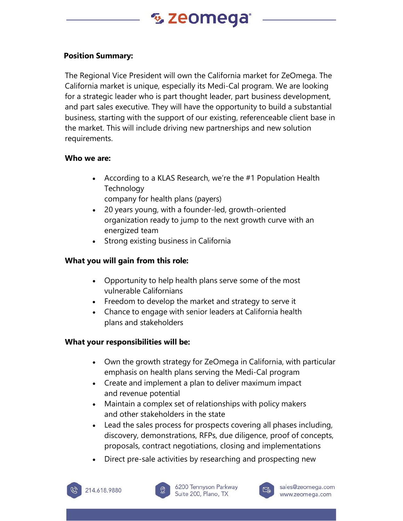# % zeomega

### **Position Summary:**

The Regional Vice President will own the California market for ZeOmega. The California market is unique, especially its Medi-Cal program. We are looking for a strategic leader who is part thought leader, part business development, and part sales executive. They will have the opportunity to build a substantial business, starting with the support of our existing, referenceable client base in the market. This will include driving new partnerships and new solution requirements.

#### **Who we are:**

• According to a KLAS Research, we're the #1 Population Health **Technology** 

company for health plans (payers)

- 20 years young, with a founder-led, growth-oriented organization ready to jump to the next growth curve with an energized team
- Strong existing business in California

# **What you will gain from this role:**

- Opportunity to help health plans serve some of the most vulnerable Californians
- Freedom to develop the market and strategy to serve it
- Chance to engage with senior leaders at California health plans and stakeholders

# **What your responsibilities will be:**

- Own the growth strategy for ZeOmega in California, with particular emphasis on health plans serving the Medi-Cal program
- Create and implement a plan to deliver maximum impact and revenue potential
- Maintain a complex set of relationships with policy makers and other stakeholders in the state
- Lead the sales process for prospects covering all phases including, discovery, demonstrations, RFPs, due diligence, proof of concepts, proposals, contract negotiations, closing and implementations
- Direct pre-sale activities by researching and prospecting new